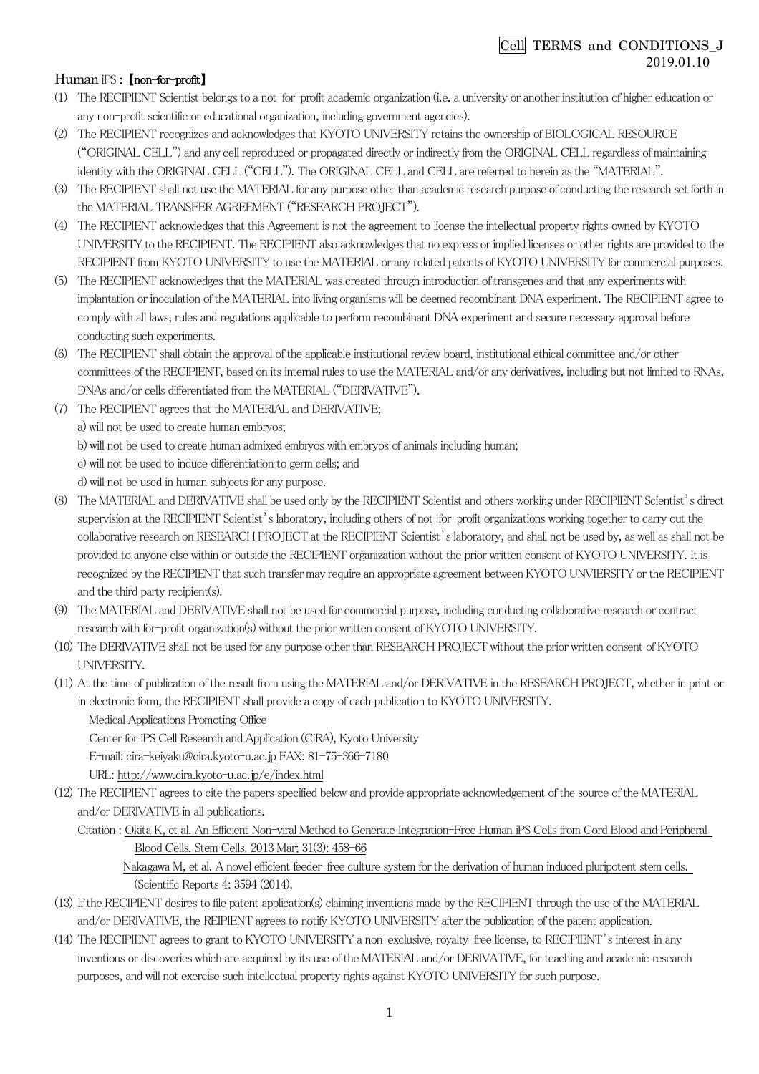## Cell TERMS and CONDITIONS\_J 2019.01.10

## Human iPS : *【non-for-profit】*

- (1) 㼀he 㻾ECIPIEN㼀 㻿cientist belongs to a not-for-profit academic organization (i.e. a university or another institution of higher education or any non-profit scientific or educational organization, including government agencies).
- (2) The RECIPIENT recognizes and acknowledges that KYOTO UNIVERSITY retains the ownership of BIOLOGICAL RESOURCE ("O㻾IGINAL CELL") and any cell reproduced or propagated directly or indirectly from the O㻾IGINAL CELL regardless of maintaining identity with the ORIGINAL CELL ("CELL"). The ORIGINAL CELL and CELL are referred to herein as the "MATERIAL".
- (3) The RECIPIENT shall not use the MATERIAL for any purpose other than academic research purpose of conducting the research set forth in the MATERIAL TRANSFER AGREEMENT ("RESEARCH PROJECT").
- (4) The RECIPIENT acknowledges that this Agreement is not the agreement to license the intellectual property rights owned by KYOTO UNIVERSITY to the RECIPIENT. The RECIPIENT also acknowledges that no express or implied licenses or other rights are provided to the RECIPIENT from KYOTO UNIVERSITY to use the MATERIAL or any related patents of KYOTO UNIVERSITY for commercial purposes.
- (5) The RECIPIENT acknowledges that the MATERIAL was created through introduction of transgenes and that any experiments with implantation or inoculation of the MATERIAL into living organisms will be deemed recombinant DNA experiment. The RECIPIENT agree to comply with all laws, rules and regulations applicable to perform recombinant DNA experiment and secure necessary approval before conducting such experiments.
- (6) The RECIPIENT shall obtain the approval of the applicable institutional review board, institutional ethical committee and/or other committees of the RECIPIENT, based on its internal rules to use the MATERIAL and/or any derivatives, including but not limited to RNAs, DNAs and/or cells differentiated from the MATERIAL ("DERIVATIVE").
- (7) The RECIPIENT agrees that the MATERIAL and DERIVATIVE;

a) will not be used to create human embryos;

- b) will not be used to create human admixed embryos with embryos of animals including human;
- c) will not be used to induce differentiation to germ cells; and

d) will not be used in human subjects for any purpose.

- (8) The MATERIAL and DERIVATIVE shall be used only by the RECIPIENT Scientist and others working under RECIPIENT Scientist's direct supervision at the RECIPIENT Scientist's laboratory, including others of not-for-profit organizations working together to carry out the collaborative research on RESEARCH PROJECT at the RECIPIENT Scientist's laboratory, and shall not be used by, as well as shall not be provided to anyone else within or outside the RECIPIENT organization without the prior written consent of KYOTO UNIVERSITY. It is recognized by the RECIPIENT that such transfer may require an appropriate agreement between KYOTO UNVIERSITY or the RECIPIENT and the third party recipient(s).
- (9) The MATERIAL and DERIVATIVE shall not be used for commercial purpose, including conducting collaborative research or contract research with for-profit organization(s) without the prior written consent of KYOTO UNIVERSITY.
- (10) The DERIVATIVE shall not be used for any purpose other than RESEARCH PROJECT without the prior written consent of KYOTO UNIVERSITY.
- (11) At the time of publication of the result from using the MATERIAL and/or DERIVATIVE in the RESEARCH PROJECT, whether in print or in electronic form, the RECIPIENT shall provide a copy of each publication to KYOTO UNIVERSITY.

Medical Applications Promoting Office

Center for iPS Cell Research and Application (CiRA), Kyoto University

E-mail: cira-keiyaku@cira.kyoto-u.ac.jp FAX: 81-75-366-7180

URL: http://www.cira.kyoto-u.ac.jp/e/index.html

- (12) The RECIPIENT agrees to cite the papers specified below and provide appropriate acknowledgement of the source of the MATERIAL and/or DERIVATIVE in all publications.
	- Citation : Okita K, et al. An Efficient Non-viral Method to Generate Integration-Free Human iPS Cells from Cord Blood and Peripheral Blood Cells. 㻿tem Cells. 2013 Mar; 31(3): 458-66

Nakagawa M, et al. A novel efficient feeder-free culture system for the derivation of human induced pluripotent stem cells. (Scientific Reports 4: 3594 (2014).

- (13) If the RECIPIENT desires to file patent application(s) claiming inventions made by the RECIPIENT through the use of the MATERIAL and/or DERIVATIVE, the REIPIENT agrees to notify KYOTO UNIVERSITY after the publication of the patent application.
- (14) The RECIPIENT agrees to grant to KYOTO UNIVERSITY a non-exclusive, royalty-free license, to RECIPIENT's interest in any inventions or discoveries which are acquired by its use of the MATERIAL and/or DERIVATIVE, for teaching and academic research purposes, and will not exercise such intellectual property rights against KYOTO UNIVERSITY for such purpose.